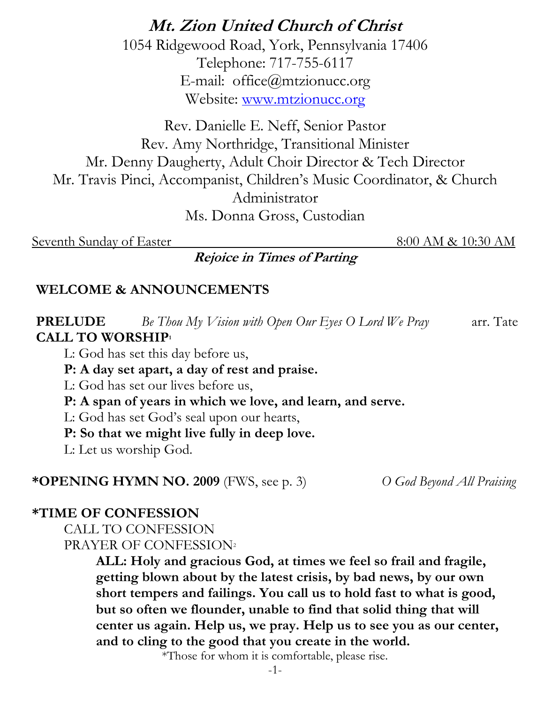**Mt. Zion United Church of Christ** 1054 Ridgewood Road, York, Pennsylvania 17406 Telephone: 717-755-6117 E-mail: office@mtzionucc.org Website: [www.mtzionucc.org](http://www.mtzionucc.org/)

Rev. Danielle E. Neff, Senior Pastor Rev. Amy Northridge, Transitional Minister Mr. Denny Daugherty, Adult Choir Director & Tech Director Mr. Travis Pinci, Accompanist, Children's Music Coordinator, & Church Administrator Ms. Donna Gross, Custodian

Seventh Sunday of Easter 8:00 AM & 10:30 AM

**Rejoice in Times of Parting**

### **WELCOME & ANNOUNCEMENTS**

**PRELUDE** *Be Thou My Vision with Open Our Eyes O Lord We Pray* arr. Tate **CALL TO WORSHIP<sup>1</sup>**

L: God has set this day before us,

**P: A day set apart, a day of rest and praise.**

L: God has set our lives before us,

**P: A span of years in which we love, and learn, and serve.**

L: God has set God's seal upon our hearts,

**P: So that we might live fully in deep love.**

L: Let us worship God.

### **\*OPENING HYMN NO. 2009** (FWS, see p. 3) *O God Beyond All Praising*

### **\*TIME OF CONFESSION**

CALL TO CONFESSION PRAYER OF CONFESSION<sup>2</sup>

> **ALL: Holy and gracious God, at times we feel so frail and fragile, getting blown about by the latest crisis, by bad news, by our own short tempers and failings. You call us to hold fast to what is good, but so often we flounder, unable to find that solid thing that will center us again. Help us, we pray. Help us to see you as our center, and to cling to the good that you create in the world.**

\*Those for whom it is comfortable, please rise.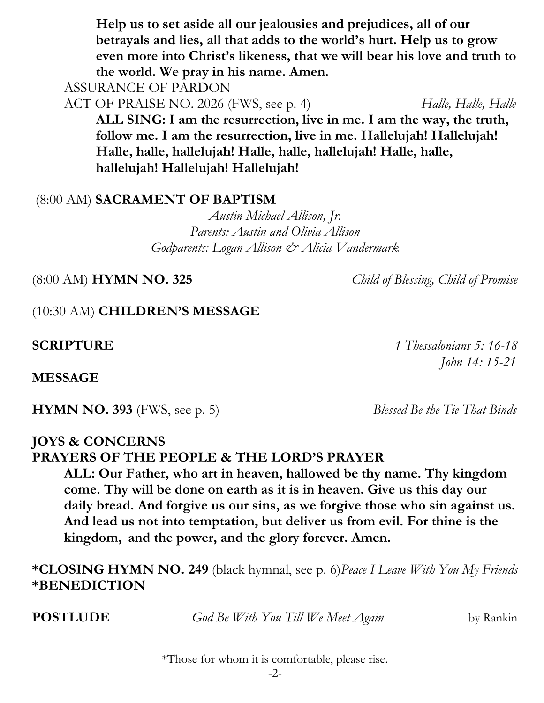**Help us to set aside all our jealousies and prejudices, all of our betrayals and lies, all that adds to the world's hurt. Help us to grow even more into Christ's likeness, that we will bear his love and truth to the world. We pray in his name. Amen.**

ASSURANCE OF PARDON

ACT OF PRAISE NO. 2026 (FWS, see p. 4) *Halle, Halle, Halle*

**ALL SING: I am the resurrection, live in me. I am the way, the truth, follow me. I am the resurrection, live in me. Hallelujah! Hallelujah! Halle, halle, hallelujah! Halle, halle, hallelujah! Halle, halle, hallelujah! Hallelujah! Hallelujah!**

### (8:00 AM) **SACRAMENT OF BAPTISM**

*Austin Michael Allison, Jr. Parents: Austin and Olivia Allison Godparents: Logan Allison & Alicia Vandermark*

(8:00 AM) **HYMN NO. 325** *Child of Blessing, Child of Promise*

(10:30 AM) **CHILDREN'S MESSAGE** 

**SCRIPTURE** *1 Thessalonians 5: 16-18* *John 14: 15-21*

**MESSAGE**

**HYMN NO. 393** (FWS, see p. 5)*Blessed Be the Tie That Binds*

# **JOYS & CONCERNS**

**PRAYERS OF THE PEOPLE & THE LORD'S PRAYER**

**ALL: Our Father, who art in heaven, hallowed be thy name. Thy kingdom come. Thy will be done on earth as it is in heaven. Give us this day our daily bread. And forgive us our sins, as we forgive those who sin against us. And lead us not into temptation, but deliver us from evil. For thine is the kingdom, and the power, and the glory forever. Amen.**

**\*CLOSING HYMN NO. 249** (black hymnal, see p. 6)*Peace I Leave With You My Friends* **\*BENEDICTION**

**POSTLUDE** *God Be With You Till We Meet Again* by Rankin

\*Those for whom it is comfortable, please rise.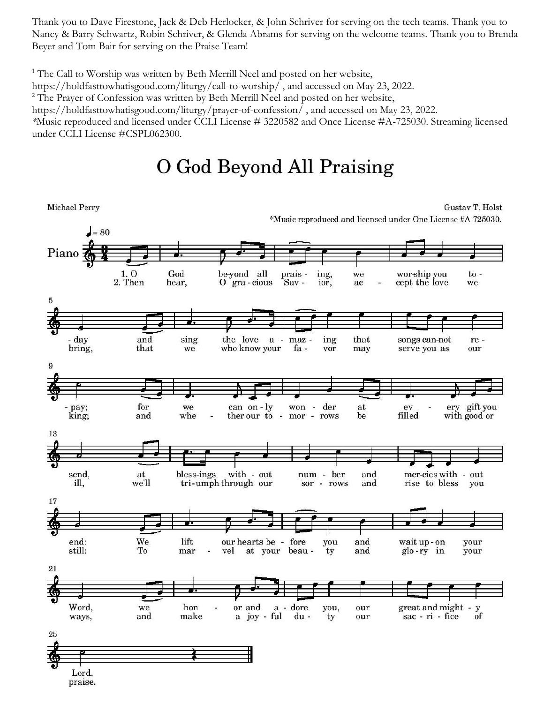Thank you to Dave Firestone, Jack & Deb Herlocker, & John Schriver for serving on the tech teams. Thank you to Nancy & Barry Schwartz, Robin Schriver, & Glenda Abrams for serving on the welcome teams. Thank you to Brenda Beyer and Tom Bair for serving on the Praise Team!

<sup>1</sup> The Call to Worship was written by Beth Merrill Neel and posted on her website, https://holdfasttowhatisgood.com/liturgy/call-to-worship/ , and accessed on May 23, 2022. <sup>2</sup> The Prayer of Confession was written by Beth Merrill Neel and posted on her website, https://holdfasttowhatisgood.com/liturgy/prayer-of-confession/ , and accessed on May 23, 2022. *\**Music reproduced and licensed under CCLI License # 3220582 and Once License #A-725030. Streaming licensed under CCLI License #CSPL062300.

# O God Beyond All Praising

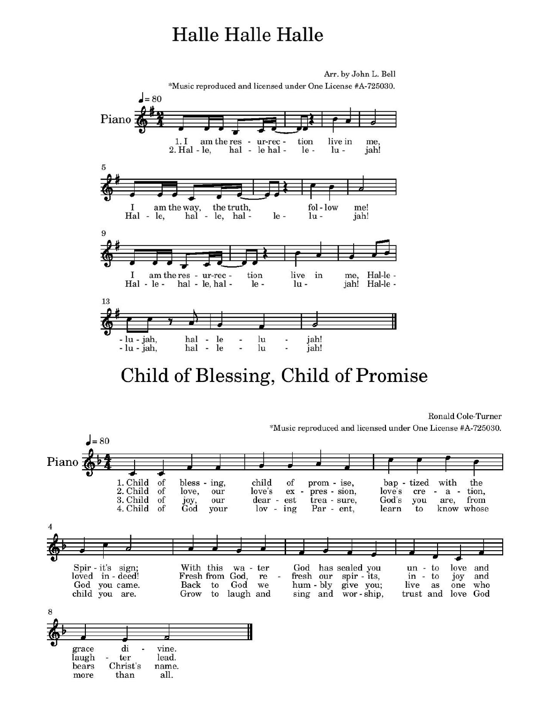### **Halle Halle Halle**



## Child of Blessing, Child of Promise

Ronald Cole-Turner \*Music reproduced and licensed under One License #A-725030.